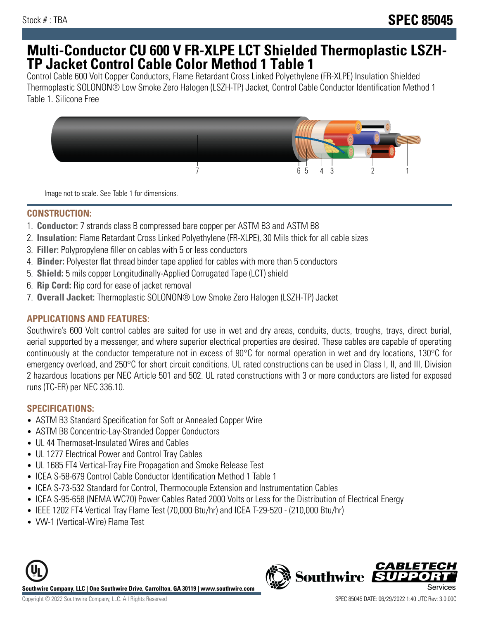# **Multi-Conductor CU 600 V FR-XLPE LCT Shielded Thermoplastic LSZH-TP Jacket Control Cable Color Method 1 Table 1**

Control Cable 600 Volt Copper Conductors, Flame Retardant Cross Linked Polyethylene (FR-XLPE) Insulation Shielded Thermoplastic SOLONON® Low Smoke Zero Halogen (LSZH-TP) Jacket, Control Cable Conductor Identification Method 1 Table 1. Silicone Free



Image not to scale. See Table 1 for dimensions.

### **CONSTRUCTION:**

- 1. **Conductor:** 7 strands class B compressed bare copper per ASTM B3 and ASTM B8
- 2. **Insulation:** Flame Retardant Cross Linked Polyethylene (FR-XLPE), 30 Mils thick for all cable sizes
- 3. **Filler:** Polypropylene filler on cables with 5 or less conductors
- 4. **Binder:** Polyester flat thread binder tape applied for cables with more than 5 conductors
- 5. **Shield:** 5 mils copper Longitudinally-Applied Corrugated Tape (LCT) shield
- 6. **Rip Cord:** Rip cord for ease of jacket removal
- 7. **Overall Jacket:** Thermoplastic SOLONON® Low Smoke Zero Halogen (LSZH-TP) Jacket

# **APPLICATIONS AND FEATURES:**

Southwire's 600 Volt control cables are suited for use in wet and dry areas, conduits, ducts, troughs, trays, direct burial, aerial supported by a messenger, and where superior electrical properties are desired. These cables are capable of operating continuously at the conductor temperature not in excess of 90°C for normal operation in wet and dry locations, 130°C for emergency overload, and 250°C for short circuit conditions. UL rated constructions can be used in Class I, II, and III, Division 2 hazardous locations per NEC Article 501 and 502. UL rated constructions with 3 or more conductors are listed for exposed runs (TC-ER) per NEC 336.10.

# **SPECIFICATIONS:**

- ASTM B3 Standard Specification for Soft or Annealed Copper Wire
- ASTM B8 Concentric-Lay-Stranded Copper Conductors
- UL 44 Thermoset-Insulated Wires and Cables
- UL 1277 Electrical Power and Control Tray Cables
- UL 1685 FT4 Vertical-Tray Fire Propagation and Smoke Release Test
- ICEA S-58-679 Control Cable Conductor Identification Method 1 Table 1
- ICEA S-73-532 Standard for Control, Thermocouple Extension and Instrumentation Cables
- ICEA S-95-658 (NEMA WC70) Power Cables Rated 2000 Volts or Less for the Distribution of Electrical Energy
- IEEE 1202 FT4 Vertical Tray Flame Test (70,000 Btu/hr) and ICEA T-29-520 (210,000 Btu/hr)
- VW-1 (Vertical-Wire) Flame Test



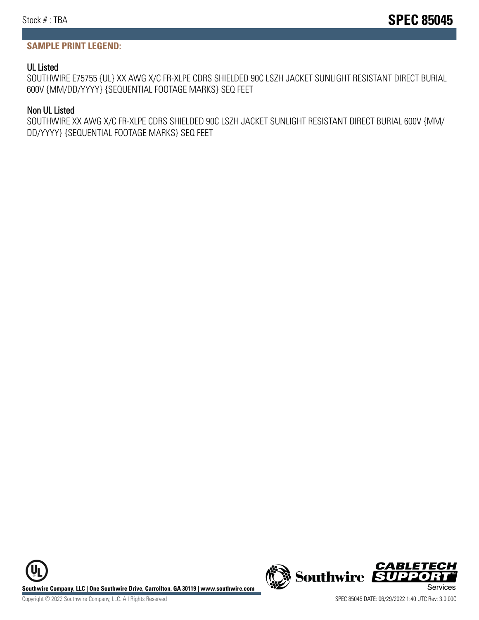#### **SAMPLE PRINT LEGEND:**

#### UL Listed

SOUTHWIRE E75755 {UL} XX AWG X/C FR-XLPE CDRS SHIELDED 90C LSZH JACKET SUNLIGHT RESISTANT DIRECT BURIAL 600V {MM/DD/YYYY} {SEQUENTIAL FOOTAGE MARKS} SEQ FEET

#### Non UL Listed

SOUTHWIRE XX AWG X/C FR-XLPE CDRS SHIELDED 90C LSZH JACKET SUNLIGHT RESISTANT DIRECT BURIAL 600V {MM/ DD/YYYY} {SEQUENTIAL FOOTAGE MARKS} SEQ FEET